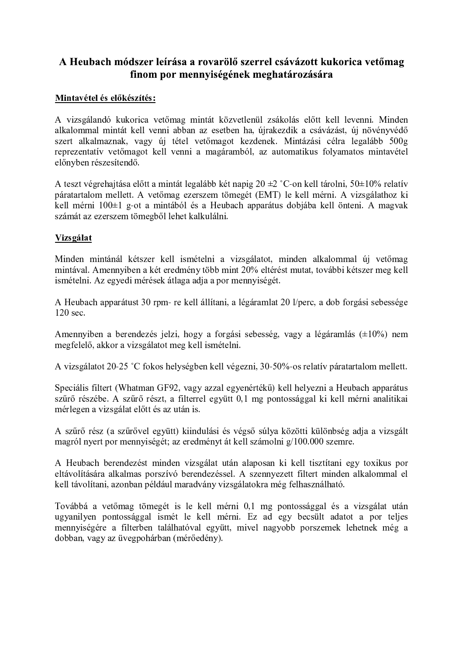# A Heubach módszer leírása a rovarölő szerrel csávázott kukorica vetőmag finom por mennyiségének meghatározására

## Mintavétel és előkészítés:

A vizsgálandó kukorica vetőmag mintát közvetlenül zsákolás előtt kell levenni. Minden alkalommal mintát kell venni abban az esetben ha, újrakezdik a csávázást, új növényvédő szert alkalmaznak, vagy új tétel vetőmagot kezdenek. Mintázási célra legalább 500g reprezentatív vetőmagot kell venni a magáramból, az automatikus folyamatos mintavétel előnyben részesítendő.

A teszt végrehajtása előtt a mintát legalább két napig 20  $\pm$ 2 °C-on kell tárolni, 50 $\pm$ 10% relatív páratartalom mellett. A vetőmag ezerszem tömegét (EMT) le kell mérni. A vizsgálathoz ki kell mérni 100±1 g-ot a mintából és a Heubach apparátus dobiába kell önteni. A magyak számát az ezerszem tömegből lehet kalkulálni.

### Vizsgálat

Minden mintánál kétszer kell ismételni a vizsgálatot, minden alkalommal új vetőmag mintával. Amennyiben a két eredmény több mint 20% eltérést mutat, további kétszer meg kell ismételni. Az egyedi mérések átlaga adja a por mennyiségét.

A Heubach apparátust 30 rpm- re kell állítani, a légáramlat 20 l/perc, a dob forgási sebessége  $120 \text{ sec.}$ 

Amennyiben a berendezés jelzi, hogy a forgási sebesség, vagy a légáramlás  $(\pm 10\%)$  nem megfelelő, akkor a vizsgálatot meg kell ismételni.

A vizsgálatot 20-25 °C fokos helységben kell végezni, 30-50%-os relatív páratartalom mellett.

Speciális filtert (Whatman GF92, vagy azzal egyenértékű) kell helyezni a Heubach apparátus szűrő részébe. A szűrő részt, a filterrel együtt 0,1 mg pontossággal ki kell mérni analitikai mérlegen a vizsgálat előtt és az után is.

A szűrő rész (a szűrővel együtt) kiindulási és végső súlya közötti különbség adja a vizsgált magról nyert por mennyiségét; az eredményt át kell számolni g/100.000 szemre.

A Heubach berendezést minden vizsgálat után alaposan ki kell tisztítani egy toxikus por eltávolítására alkalmas porszívó berendezéssel. A szennyezett filtert minden alkalommal el kell távolítani, azonban például maradvány vizsgálatokra még felhasználható.

Továbbá a vetőmag tömegét is le kell mérni 0,1 mg pontossággal és a vizsgálat után ugyanilyen pontossággal ismét le kell mérni. Ez ad egy becsült adatot a por teljes mennyiségére a filterben találhatóval együtt, mivel nagyobb porszemek lehetnek még a dobban, vagy az üvegpohárban (mérőedény).